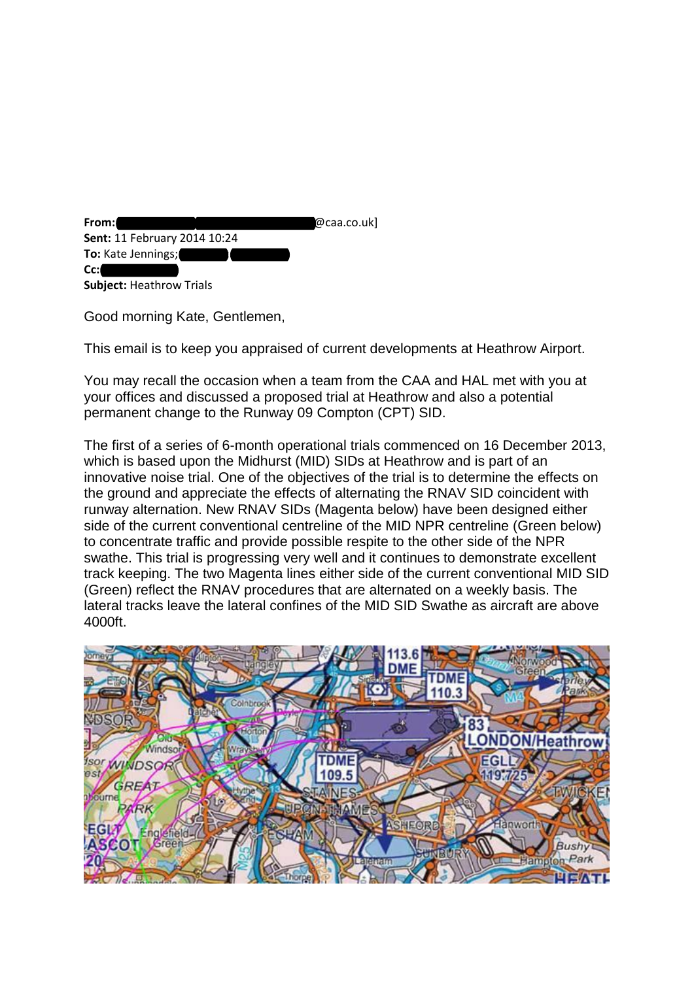**From:** Mark **Campaigneer** Mark **Constantineer** Mark **Constantineer** Mark **Constantineer** Mark **Constantineer** Mark **Constantineer** Mark **Constantineer** Mark **Constantineer** Mark **Constantineer** Mark **Constantineer** Mark **Sent:** 11 February 2014 10:24 **To:** Kate Jennings; Cc: **Subject:** Heathrow Trials

Good morning Kate, Gentlemen,

This email is to keep you appraised of current developments at Heathrow Airport.

You may recall the occasion when a team from the CAA and HAL met with you at your offices and discussed a proposed trial at Heathrow and also a potential permanent change to the Runway 09 Compton (CPT) SID.

The first of a series of 6-month operational trials commenced on 16 December 2013, which is based upon the Midhurst (MID) SIDs at Heathrow and is part of an innovative noise trial. One of the objectives of the trial is to determine the effects on the ground and appreciate the effects of alternating the RNAV SID coincident with runway alternation. New RNAV SIDs (Magenta below) have been designed either side of the current conventional centreline of the MID NPR centreline (Green below) to concentrate traffic and provide possible respite to the other side of the NPR swathe. This trial is progressing very well and it continues to demonstrate excellent track keeping. The two Magenta lines either side of the current conventional MID SID (Green) reflect the RNAV procedures that are alternated on a weekly basis. The lateral tracks leave the lateral confines of the MID SID Swathe as aircraft are above 4000ft.

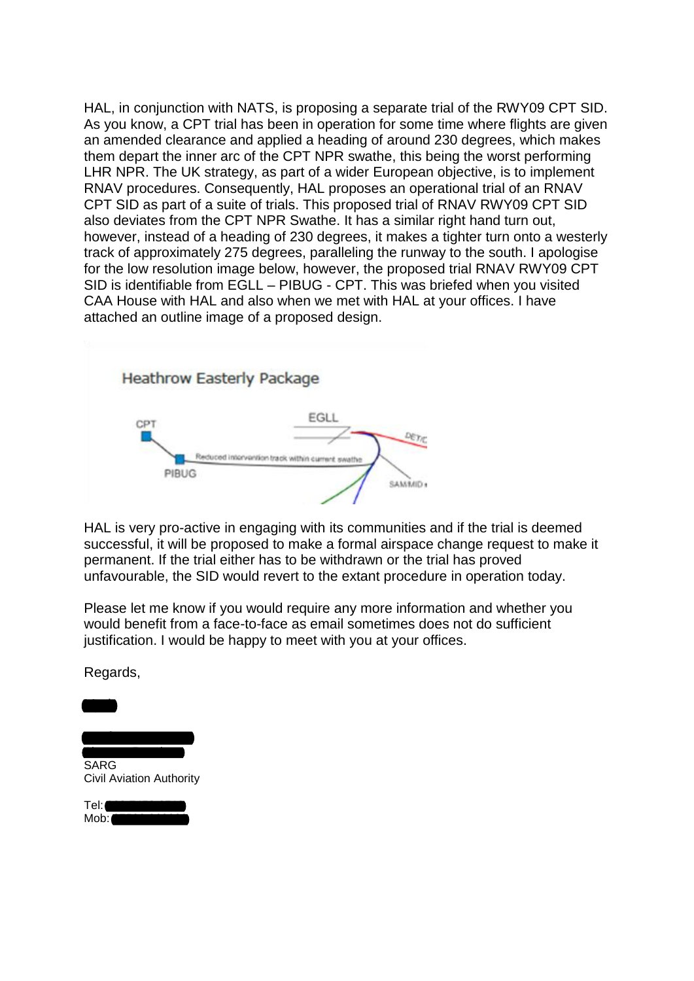HAL, in conjunction with NATS, is proposing a separate trial of the RWY09 CPT SID. As you know, a CPT trial has been in operation for some time where flights are given an amended clearance and applied a heading of around 230 degrees, which makes them depart the inner arc of the CPT NPR swathe, this being the worst performing LHR NPR. The UK strategy, as part of a wider European objective, is to implement RNAV procedures. Consequently, HAL proposes an operational trial of an RNAV CPT SID as part of a suite of trials. This proposed trial of RNAV RWY09 CPT SID also deviates from the CPT NPR Swathe. It has a similar right hand turn out, however, instead of a heading of 230 degrees, it makes a tighter turn onto a westerly track of approximately 275 degrees, paralleling the runway to the south. I apologise for the low resolution image below, however, the proposed trial RNAV RWY09 CPT SID is identifiable from EGLL – PIBUG - CPT. This was briefed when you visited CAA House with HAL and also when we met with HAL at your offices. I have attached an outline image of a proposed design.



HAL is very pro-active in engaging with its communities and if the trial is deemed successful, it will be proposed to make a formal airspace change request to make it permanent. If the trial either has to be withdrawn or the trial has proved unfavourable, the SID would revert to the extant procedure in operation today.

Please let me know if you would require any more information and whether you would benefit from a face-to-face as email sometimes does not do sufficient justification. I would be happy to meet with you at your offices.

Regards,

Mark

**Mark R McLaren** Airspace Regulator **SARG** Civil Aviation Authority

 $Tel:  $\blacksquare$$  $Mob:$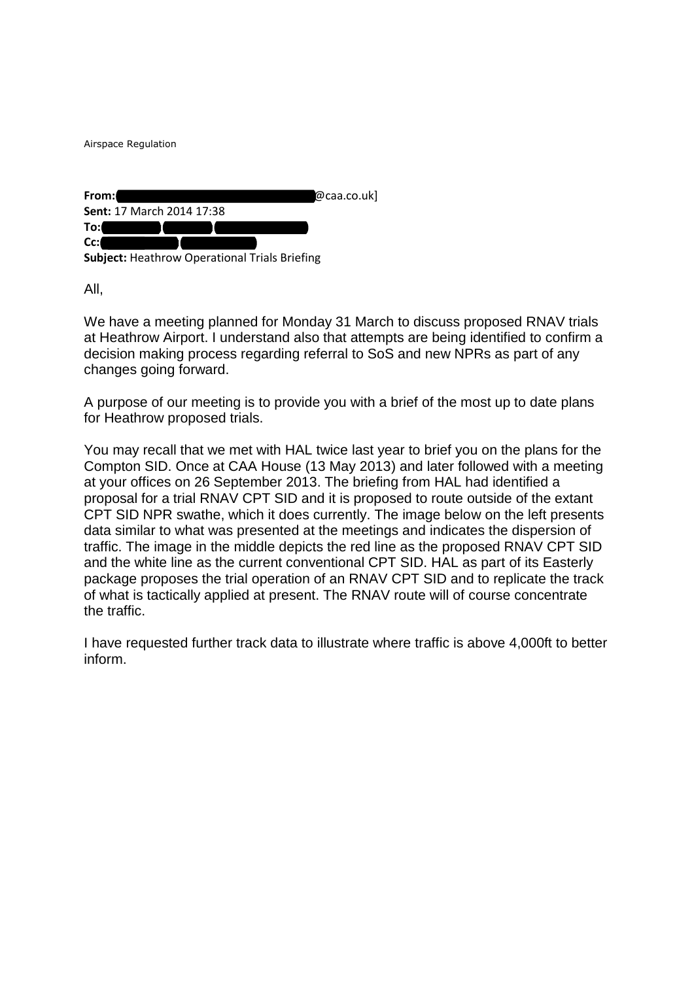Airspace Regulation

| From:(                                               | @caa.co.uk] |
|------------------------------------------------------|-------------|
| Sent: 17 March 2014 17:38                            |             |
| To:l                                                 |             |
| $Cc$ :                                               |             |
| <b>Subject: Heathrow Operational Trials Briefing</b> |             |

All,

We have a meeting planned for Monday 31 March to discuss proposed RNAV trials at Heathrow Airport. I understand also that attempts are being identified to confirm a decision making process regarding referral to SoS and new NPRs as part of any changes going forward.

A purpose of our meeting is to provide you with a brief of the most up to date plans for Heathrow proposed trials.

You may recall that we met with HAL twice last year to brief you on the plans for the Compton SID. Once at CAA House (13 May 2013) and later followed with a meeting at your offices on 26 September 2013. The briefing from HAL had identified a proposal for a trial RNAV CPT SID and it is proposed to route outside of the extant CPT SID NPR swathe, which it does currently. The image below on the left presents data similar to what was presented at the meetings and indicates the dispersion of traffic. The image in the middle depicts the red line as the proposed RNAV CPT SID and the white line as the current conventional CPT SID. HAL as part of its Easterly package proposes the trial operation of an RNAV CPT SID and to replicate the track of what is tactically applied at present. The RNAV route will of course concentrate the traffic.

I have requested further track data to illustrate where traffic is above 4,000ft to better inform.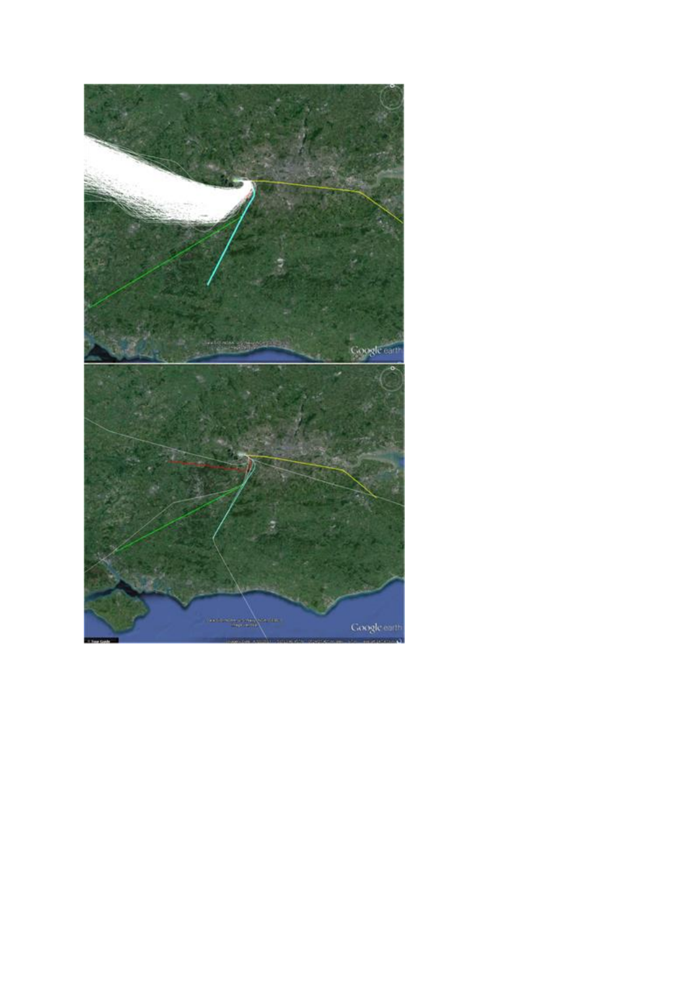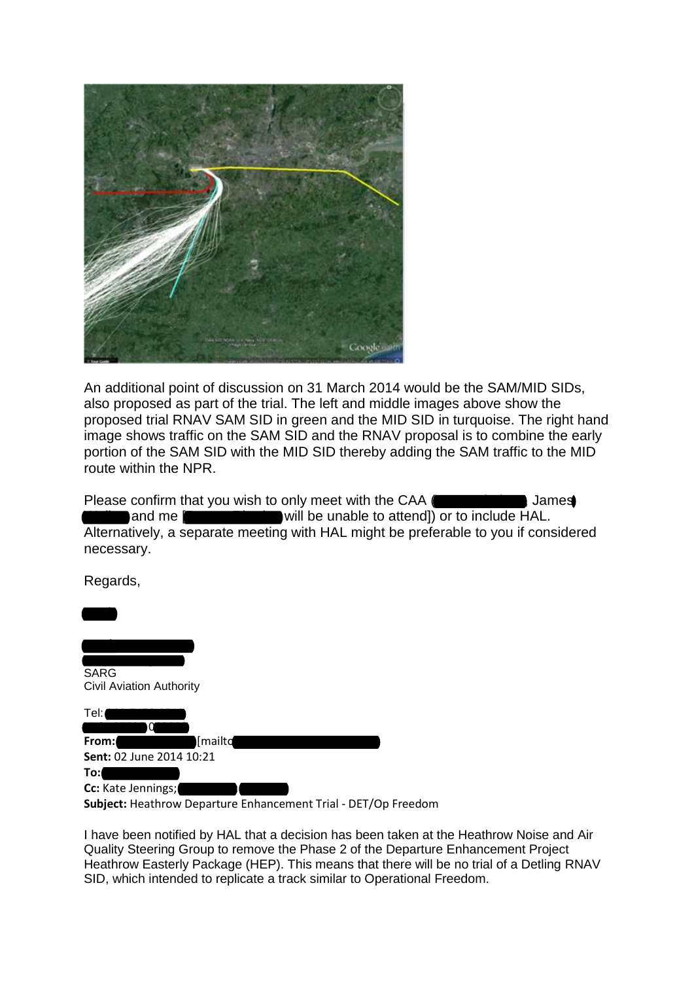

An additional point of discussion on 31 March 2014 would be the SAM/MID SIDs, also proposed as part of the trial. The left and middle images above show the proposed trial RNAV SAM SID in green and the MID SID in turquoise. The right hand image shows traffic on the SAM SID and the RNAV proposal is to combine the early portion of the SAM SID with the MID SID thereby adding the SAM traffic to the MID route within the NPR.

Please confirm that you wish to only meet with the CAA  $($ and me [Darren Rhodes will be unable to attend]) or to include HAL. Alternatively, a separate meeting with HAL might be preferable to you if considered necessary.

Regards,

| <b>SARG</b>                                                    |
|----------------------------------------------------------------|
| <b>Civil Aviation Authority</b>                                |
|                                                                |
| Tel:ı                                                          |
|                                                                |
| [mailtd<br>From:                                               |
| <b>Sent: 02 June 2014 10:21</b>                                |
| To:                                                            |
| Cc: Kate Jennings;                                             |
| Subject: Heathrow Departure Enhancement Trial - DET/Op Freedom |

I have been notified by HAL that a decision has been taken at the Heathrow Noise and Air Quality Steering Group to remove the Phase 2 of the Departure Enhancement Project Heathrow Easterly Package (HEP). This means that there will be no trial of a Detling RNAV SID, which intended to replicate a track similar to Operational Freedom.